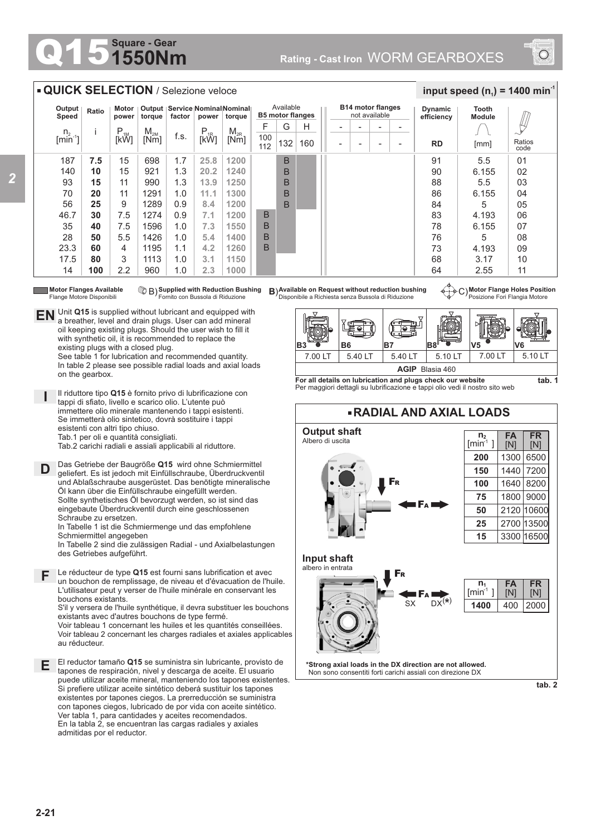## **1550Nm Square - Gear**



## **QUICK SELECTION** / Selezione veloce

**EN** Unit Q15 is supplied without lubricant and equipped with a breather, level and drain plugs. User can add mineral oil keeping existing plugs. Should the user wish to fill it with synthetic oil, it is recommended to replace the

> See table 1 for lubrication and recommended quantity. In table 2 please see possible radial loads and axial loads

Il riduttore tipo **Q15** è fornito privo di lubrificazione con tappi di sfiato, livello e scarico olio. L'utente può immettere olio minerale mantenendo i tappi esistenti. Se immetterà olio sintetico, dovrà sostituire i tappi

Tab.2 carichi radiali e assiali applicabili al riduttore.

Das Getriebe der Baugröße **Q15** wird ohne Schmiermittel geliefert. Es ist jedoch mit Einfüllschraube, Überdruckventil und Ablaßschraube ausgerüstet. Das benötigte mineralische Öl kann über die Einfüllschraube eingefüllt werden. Sollte synthetisches Öl bevorzugt werden, so ist sind das eingebaute Überdruckventil durch eine geschlossenen

existing plugs with a closed plug.

esistenti con altri tipo chiuso. Tab.1 per oli e quantità consigliati.

| Output<br>Speed                                                                                                                                                                                                                                                                                                                                                                                                                                                                                                                                                                                                                                                                           | Ratio | Motor<br>power | torque   | factor | power    | Output   Service   Nominal Nominal   <br>torque | Available<br><b>B5 motor flanges</b> |     |     | <b>B14 motor flanges</b><br>not available |                          |                          |                          | Dynamic<br>efficiency | Tooth<br><b>Module</b> |                |
|-------------------------------------------------------------------------------------------------------------------------------------------------------------------------------------------------------------------------------------------------------------------------------------------------------------------------------------------------------------------------------------------------------------------------------------------------------------------------------------------------------------------------------------------------------------------------------------------------------------------------------------------------------------------------------------------|-------|----------------|----------|--------|----------|-------------------------------------------------|--------------------------------------|-----|-----|-------------------------------------------|--------------------------|--------------------------|--------------------------|-----------------------|------------------------|----------------|
| n <sub>2</sub>                                                                                                                                                                                                                                                                                                                                                                                                                                                                                                                                                                                                                                                                            |       | $P_{1M}$       | $M_{2M}$ |        | $P_{1R}$ | $M_{2R}$                                        | F                                    | G   | Н   |                                           | $\overline{\phantom{0}}$ | $\overline{\phantom{0}}$ | $\overline{\phantom{0}}$ |                       |                        | Щ              |
| $\left[\right.\right.\right.\left.\right.\left.\left.\right\vert\right.\left.\left.\left.\right.\right\vert\right.\left.\left.\left.\right\vert\right.\left.\left.\right\vert\right.\left.\left.\right\vert\right.\left.\left.\right\vert\right.\left.\left.\right\vert\right.\left.\left.\right\vert\right.\left.\left.\right\vert\right.\left.\left.\right\vert\right.\left.\left.\right\vert\right.\left.\left.\right\vert\right.\left.\left.\right\vert\right.\left.\left.\right\vert\right.\left.\left.\right\vert\right.\left.\left.\right\vert\right.\left.\left.\right\vert\right.\left.\right\vert\right.\left.\left.\right\vert\right.\left\vert\right.\left.\right\vert\right$ |       | [kW]           | [Nm]     | f.s.   | [kŴ]     | [Nm]                                            | 100<br>112                           | 132 | 160 | ۰                                         | $\overline{\phantom{0}}$ | $\overline{\phantom{a}}$ | ۰                        | <b>RD</b>             | [mm]                   | Ratios<br>code |
| 187                                                                                                                                                                                                                                                                                                                                                                                                                                                                                                                                                                                                                                                                                       | 7.5   | 15             | 698      | 1.7    | 25.8     | 1200                                            |                                      | B   |     |                                           |                          |                          |                          | 91                    | 5.5                    | 01             |
| 140                                                                                                                                                                                                                                                                                                                                                                                                                                                                                                                                                                                                                                                                                       | 10    | 15             | 921      | 1.3    | 20.2     | 1240                                            |                                      | B   |     |                                           |                          |                          |                          | 90                    | 6.155                  | 02             |
| 93                                                                                                                                                                                                                                                                                                                                                                                                                                                                                                                                                                                                                                                                                        | 15    | 11             | 990      | 1.3    | 13.9     | 1250                                            |                                      | B   |     |                                           |                          |                          |                          | 88                    | 5.5                    | 03             |
| 70                                                                                                                                                                                                                                                                                                                                                                                                                                                                                                                                                                                                                                                                                        | 20    | 11             | 1291     | 1.0    | 11.1     | 1300                                            |                                      | B   |     |                                           |                          |                          |                          | 86                    | 6.155                  | 04             |
| 56                                                                                                                                                                                                                                                                                                                                                                                                                                                                                                                                                                                                                                                                                        | 25    | 9              | 1289     | 0.9    | 8.4      | 1200                                            |                                      | B   |     |                                           |                          |                          |                          | 84                    | 5                      | 05             |
| 46.7                                                                                                                                                                                                                                                                                                                                                                                                                                                                                                                                                                                                                                                                                      | 30    | 7.5            | 1274     | 0.9    | 7.1      | 1200                                            | B                                    |     |     |                                           |                          |                          |                          | 83                    | 4.193                  | 06             |
| 35                                                                                                                                                                                                                                                                                                                                                                                                                                                                                                                                                                                                                                                                                        | 40    | 7.5            | 1596     | 1.0    | 7.3      | 1550                                            | B                                    |     |     |                                           |                          |                          |                          | 78                    | 6.155                  | 07             |
| 28                                                                                                                                                                                                                                                                                                                                                                                                                                                                                                                                                                                                                                                                                        | 50    | 5.5            | 1426     | 1.0    | 5.4      | 1400                                            | B                                    |     |     |                                           |                          |                          |                          | 76                    | 5                      | 08             |
| 23.3                                                                                                                                                                                                                                                                                                                                                                                                                                                                                                                                                                                                                                                                                      | 60    | 4              | 1195     | 1.1    | 4.2      | 1260                                            | В                                    |     |     |                                           |                          |                          |                          | 73                    | 4.193                  | 09             |
| 17.5                                                                                                                                                                                                                                                                                                                                                                                                                                                                                                                                                                                                                                                                                      | 80    | 3              | 1113     | 1.0    | 3.1      | 1150                                            |                                      |     |     |                                           |                          |                          |                          | 68                    | 3.17                   | 10             |
| 14                                                                                                                                                                                                                                                                                                                                                                                                                                                                                                                                                                                                                                                                                        | 100   | 2.2            | 960      | 1.0    | 2.3      | 1000                                            |                                      |     |     |                                           |                          |                          |                          | 64                    | 2.55                   | 11             |

**Motor Flanges Available** Flange Motore Disponibili

on the gearbox.

**D**

**I**

**Supplied with Reduction Bushing** B) **B**) Fornito con Bussola di Riduzione

Le réducteur de type **Q15** est fourni sans lubrification et avec **F** un bouchon de remplissage, de niveau et d'évacuation de l'huile. L'utilisateur peut y verser de l'huile minérale en conservant les

In Tabelle 2 sind die zulässigen Radial - und Axialbelastungen

In Tabelle 1 ist die Schmiermenge und das empfohlene

existants avec d'autres bouchons de type fermé.

S'il y versera de l'huile synthétique, il devra substituer les bouchons

Voir tableau 1 concernant les huiles et les quantités conseillées. Voir tableau 2 concernant les charges radiales et axiales applicables

El reductor tamaño **Q15** se suministra sin lubricante, provisto de tapones de respiración, nivel y descarga de aceite. El usuario puede utilizar aceite mineral, manteniendo los tapones existentes. Si prefiere utilizar aceite sintético deberá sustituir los tapones existentes por tapones ciegos. La prerreducción se suministra con tapones ciegos, lubricado de por vida con aceite sintético. Ver tabla 1, para cantidades y aceites recomendados. En la tabla 2, se encuentran las cargas radiales y axiales

bouchons existants.

Schraube zu ersetzen.

Schmiermittel angegeben

des Getriebes aufgeführt.

admitidas por el reductor.

au réducteur.

**Available on Request without reduction bushing** Disponibile a Richiesta senza Bussola di Riduzione

**Motor Flange Holes Position** C) Posizione Fori Flangia Motore

 $\frac{1}{2}$  **input speed (n**<sub>1</sub>) = 1400 min<sup>-1</sup>



**For all details on lubrication and plugs check our website**  Per maggiori dettagli su lubrificazione e tappi olio vedi il nostro sito web



**\*Strong axial loads in the DX direction are not allowed.** Non sono consentiti forti carichi assiali con direzione DX

**tab. 2**

**E**